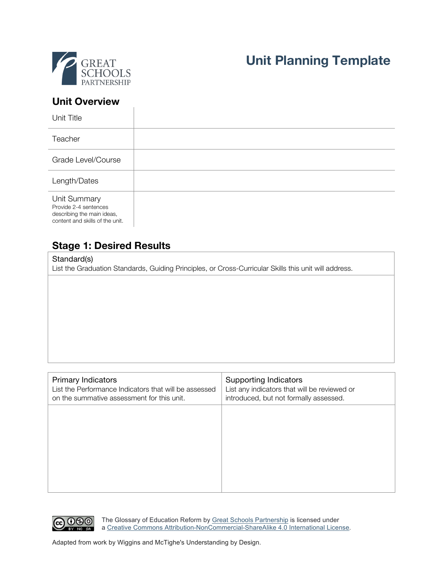

# **Unit Planning Template**

### **Unit Overview**

 $\overline{1}$ 

| Unit Title                                                                                             |  |
|--------------------------------------------------------------------------------------------------------|--|
| Teacher                                                                                                |  |
| Grade Level/Course                                                                                     |  |
| Length/Dates                                                                                           |  |
| Unit Summary<br>Provide 2-4 sentences<br>describing the main ideas,<br>content and skills of the unit. |  |

# **Stage 1: Desired Results**

#### Standard(s)

List the Graduation Standards, Guiding Principles, or Cross-Curricular Skills this unit will address.

| <b>Primary Indicators</b><br>List the Performance Indicators that will be assessed<br>on the summative assessment for this unit. | Supporting Indicators<br>List any indicators that will be reviewed or<br>introduced, but not formally assessed. |
|----------------------------------------------------------------------------------------------------------------------------------|-----------------------------------------------------------------------------------------------------------------|
|                                                                                                                                  |                                                                                                                 |
|                                                                                                                                  |                                                                                                                 |
|                                                                                                                                  |                                                                                                                 |



The Glossary of Education Reform by Great Schools Partnership is licensed under a Creative Commons Attribution-NonCommercial-ShareAlike 4.0 International License.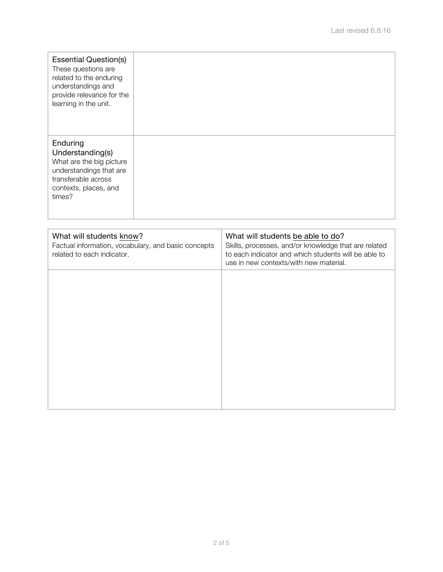| <b>Essential Question(s)</b><br>These questions are<br>related to the enduring<br>understandings and<br>provide relevance for the<br>learning in the unit. |  |
|------------------------------------------------------------------------------------------------------------------------------------------------------------|--|
| Enduring<br>Understanding(s)<br>What are the big picture<br>understandings that are<br>transferable across<br>contexts, places, and<br>times?              |  |

| What will students know?<br>Factual information, vocabulary, and basic concepts<br>related to each indicator. | What will students be able to do?<br>Skills, processes, and/or knowledge that are related<br>to each indicator and which students will be able to<br>use in new contexts/with new material. |  |
|---------------------------------------------------------------------------------------------------------------|---------------------------------------------------------------------------------------------------------------------------------------------------------------------------------------------|--|
|                                                                                                               |                                                                                                                                                                                             |  |
|                                                                                                               |                                                                                                                                                                                             |  |
|                                                                                                               |                                                                                                                                                                                             |  |
|                                                                                                               |                                                                                                                                                                                             |  |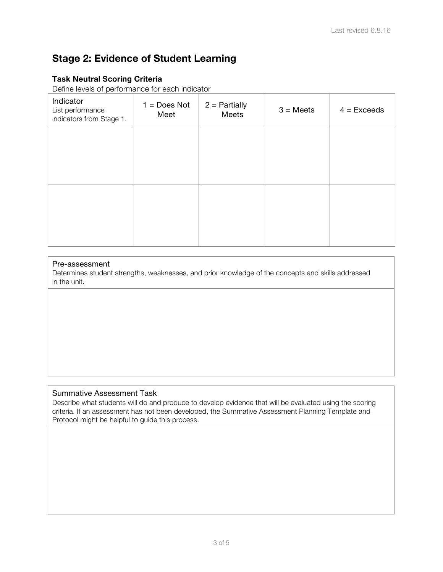# **Stage 2: Evidence of Student Learning**

### **Task Neutral Scoring Criteria**

Define levels of performance for each indicator

| Indicator<br>List performance<br>indicators from Stage 1. | $1 = Does Not$<br>Meet | $2 =$ Partially<br>Meets | $3 = Meets$ | $4 = Exceeds$ |
|-----------------------------------------------------------|------------------------|--------------------------|-------------|---------------|
|                                                           |                        |                          |             |               |
|                                                           |                        |                          |             |               |
|                                                           |                        |                          |             |               |
|                                                           |                        |                          |             |               |

### Pre-assessment

Determines student strengths, weaknesses, and prior knowledge of the concepts and skills addressed in the unit.

### Summative Assessment Task

Describe what students will do and produce to develop evidence that will be evaluated using the scoring criteria. If an assessment has not been developed, the Summative Assessment Planning Template and Protocol might be helpful to guide this process.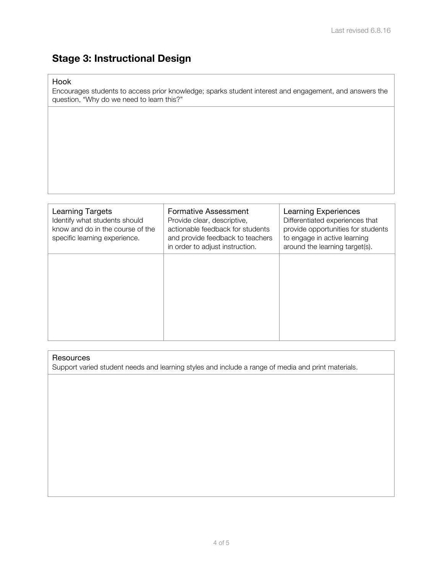# **Stage 3: Instructional Design**

Hook

Encourages students to access prior knowledge; sparks student interest and engagement, and answers the question, "Why do we need to learn this?"

| <b>Learning Targets</b><br>Identify what students should<br>know and do in the course of the<br>specific learning experience. | <b>Formative Assessment</b><br>Provide clear, descriptive,<br>actionable feedback for students<br>and provide feedback to teachers<br>in order to adjust instruction. | Learning Experiences<br>Differentiated experiences that<br>provide opportunities for students<br>to engage in active learning<br>around the learning target(s). |
|-------------------------------------------------------------------------------------------------------------------------------|-----------------------------------------------------------------------------------------------------------------------------------------------------------------------|-----------------------------------------------------------------------------------------------------------------------------------------------------------------|
|                                                                                                                               |                                                                                                                                                                       |                                                                                                                                                                 |

#### **Resources**

Support varied student needs and learning styles and include a range of media and print materials.